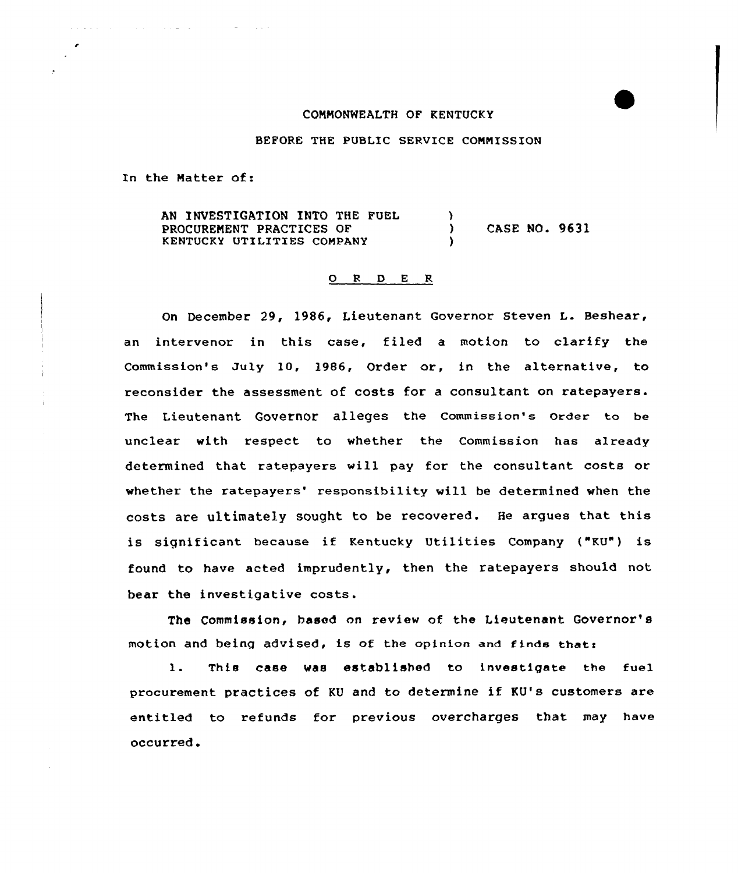## CONNONWEALTH OF KENTUCKY

## BEFORE THE PUBLIC SERVICE CONNISSION

In the Natter of:

**Contract Contract** 

 $\mathcal{L}(\mathcal{L}(\mathcal{L},\mathcal{L},\mathcal{L},\mathcal{L},\mathcal{L},\mathcal{L},\mathcal{L},\mathcal{L},\mathcal{L},\mathcal{L},\mathcal{L},\mathcal{L},\mathcal{L},\mathcal{L},\mathcal{L},\mathcal{L},\mathcal{L},\mathcal{L},\mathcal{L},\mathcal{L},\mathcal{L},\mathcal{L},\mathcal{L},\mathcal{L},\mathcal{L},\mathcal{L},\mathcal{L},\mathcal{L},\mathcal{L},\mathcal{L},\mathcal{L},\mathcal{L},\mathcal{L},\mathcal{L},\mathcal{$ 

AN INVESTIGATION INTO THE FUEL PROCURENENT PRACTICES OF KENTUCKY UTILITIES CONPANY  $\left\{ \right\}$ ) CASE NO. 9631 )

## 0 <sup>R</sup> <sup>D</sup> E <sup>K</sup>

On December 29, 1986, Lieutenant Governor Steven L. Beshear, an intervenor in this case, filed a motion to clarify the Commission's July 10, 1986, Order or, in the alternative, to reconsider the assessment of costs for a consultant on ratepayers. The Lieutenant Governor alleges the commission's order to be unclear with respect to whether the Commission has already determined that ratepayers will pay for the consultant costs or whether the ratepayers' responsibility will be determined when the costs are ultimately sought to be recovered. He argues that this is significant because if Kentucky Utilities Company ("KU") is found to have acted imprudently, then the ratepayers should not. bear the investigative costs.

The Commission, based on review of the Lieutenant Governor' motion and being advised, is of the opinion and finds that:

1. This case was established to investigate the fuel procurement practices of KU and to determine if KU's customers are entitled to refunds for previous overcharges that may have occurred <sup>~</sup>